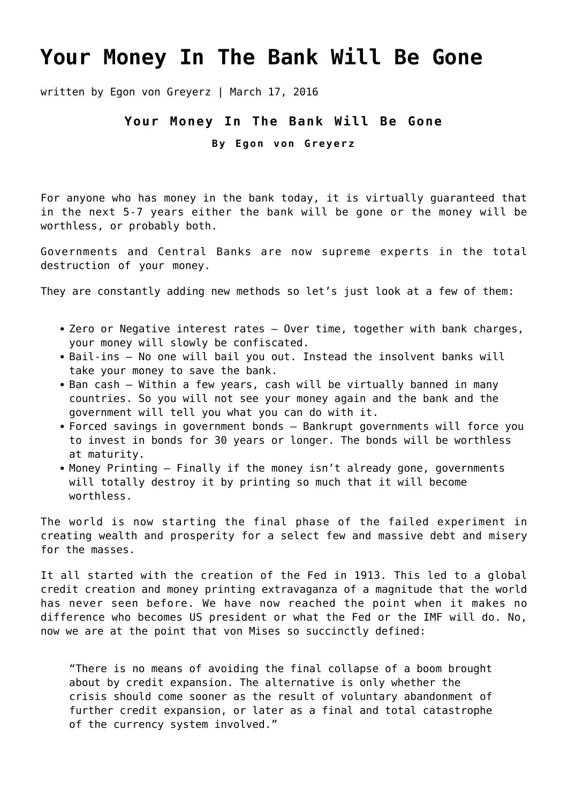## **[Your Money In The Bank Will Be Gone](https://goldswitzerland.com/your-money-in-the-bank-will-be-gone/)**

written by Egon von Greyerz | March 17, 2016

## **Your Money In The Bank Will Be Gone**

**By Egon von Greyerz**

For anyone who has money in the bank today, it is virtually guaranteed that in the next 5-7 years either the bank will be gone or the money will be worthless, or probably both.

Governments and Central Banks are now supreme experts in the total destruction of your money.

They are constantly adding new methods so let's just look at a few of them:

- Zero or Negative interest rates Over time, together with bank charges, your money will slowly be confiscated.
- Bail-ins No one will bail you out. Instead the insolvent banks will take your money to save the bank.
- Ban cash Within a few years, cash will be virtually banned in many countries. So you will not see your money again and the bank and the government will tell you what you can do with it.
- Forced savings in government bonds Bankrupt governments will force you to invest in bonds for 30 years or longer. The bonds will be worthless at maturity.
- Money Printing Finally if the money isn't already gone, governments will totally destroy it by printing so much that it will become worthless.

The world is now starting the final phase of the failed experiment in creating wealth and prosperity for a select few and massive debt and misery for the masses.

It all started with the creation of the Fed in 1913. This led to a global credit creation and money printing extravaganza of a magnitude that the world has never seen before. We have now reached the point when it makes no difference who becomes US president or what the Fed or the IMF will do. No, now we are at the point that von Mises so succinctly defined:

"There is no means of avoiding the final collapse of a boom brought about by credit expansion. The alternative is only whether the crisis should come sooner as the result of voluntary abandonment of further credit expansion, or later as a final and total catastrophe of the currency system involved."